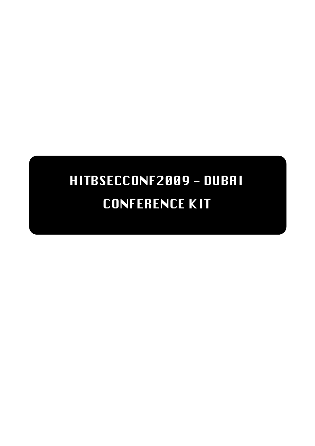# HITBSECCONF2009 - DUBAI CONFERENCE KIT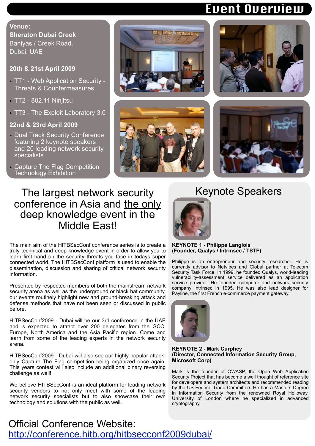### Event Overview

### **Venue: Sheraton Dubai Creek** Baniyas / Creek Road, Dubai, UAE

### **20th & 21st April 2009**

- TT1 Web Application Security Threats & Countermeasures
- TT2 802.11 Ninjitsu
- TT3 The Exploit Laboratory 3.0

### **22nd & 23rd April 2009**

- Dual Track Security Conference featuring 2 keynote speakers and 20 leading network security specialists
- Capture The Flag Competition Technology Exhibition









### The largest network security conference in Asia and the only deep knowledge event in the Middle East!

The main aim of the HITBSecConf conference series is to create a truly technical and deep knowledge event in order to allow you to learn first hand on the security threats you face in todays super connected world. The HITBSecConf platform is used to enable the dissemination, discussion and sharing of critical network security information.

Presented by respected members of both the mainstream network security arena as well as the underground or black hat community, our events routinely highlight new and ground-breaking attack and defense methods that have not been seen or discussed in public before.

HITBSecConf2009 - Dubai will be our 3rd conference in the UAE and is expected to attract over 200 delegates from the GCC, Europe, North America and the Asia Pacific region. Come and learn from some of the leading experts in the network security arena.

HITBSecConf2009 - Dubai will also see our highly popular attackonly Capture The Flag competition being organized once again. This years contest will also include an additional binary reversing challenge as well!

We believe HITBSecConf is an ideal platform for leading network security vendors to not only meet with some of the leading network security specialists but to also showcase their own technology and solutions with the public as well.

### Keynote Speakers



#### **KEYNOTE 1 - Philippe Langlois (Founder, Qualys / Intrinsec / TSTF)**

Philippe is an entrepreneur and security researcher. He is currently advisor to Netvibes and Global partner at Telecom Security Task Force. In 1999, he founded Qualys, world-leading vulnerability-assessment service delivered as an application service provider. He founded computer and network security company Intrinsec in 1995. He was also lead designer for Payline, the first French e-commerce payment gateway.



#### **KEYNOTE 2 - Mark Curphey (Director, Connected Information Security Group, Microsoft Corp)**

Mark is the founder of OWASP, the Open Web Application Security Project that has become a well thought of reference site for developers and system architects and recommended reading by the US Federal Trade Committee. He has a Masters Degree in Information Security from the renowned Royal Holloway, University of London where he specialized in advanced cryptography.

### Official Conference Website: <http://conference.hitb.org/hitbsecconf2009dubai/>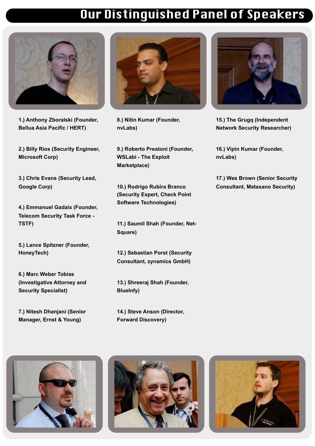## Our Distinguished Panel of Speakers



**1.) [Anthony Zboralski](http://conference.hackinthebox.org/hitbsecconf2009dubai/?page_id=110) (Founder, Be[llua Asia Pacific / H](http://conference.hackinthebox.org/hitbsecconf2009dubai/?page_id=110)ERT)**

**2.) [Billy Rios](http://conference.hackinthebox.org/hitbsecconf2009dubai/?page_id=104) (Security Engineer, Mi[crosoft Co](http://conference.hackinthebox.org/hitbsecconf2009dubai/?page_id=104)rp)**

**3.) [Chris Evans](http://conference.hackinthebox.org/hitbsecconf2009dubai/?page_id=126) (Security Lead, Google Corp)**

**4.) [Emmanuel Gadaix](http://conference.hackinthebox.org/hitbsecconf2009dubai/?page_id=98) (Founder, Telecom Security Task Force - TSTF)**

**5.) [Lance Spitzner](http://conference.hackinthebox.org/hitbsecconf2009dubai/?page_id=153) (Founder, Ho[neyTech\)](http://conference.hackinthebox.org/hitbsecconf2009dubai/?page_id=153)** 

**6.) [Marc Weber Tobias](http://conference.hackinthebox.org/hitbsecconf2009dubai/?page_id=122) (Investigative Attorney and Security Specialist)**

**7.) [Nitesh Dhanjani](http://conference.hackinthebox.org/hitbsecconf2009dubai/?page_id=107) (Senior Ma[nager, Ernst & Yo](http://conference.hackinthebox.org/hitbsecconf2009dubai/?page_id=107)ung)** 



**8.) [Nitin Kumar](http://conference.hackinthebox.org/hitbsecconf2009dubai/?page_id=217) (Founder, nv[Labs\)](http://conference.hackinthebox.org/hitbsecconf2009dubai/?page_id=217)** 

**9.) [Roberto Preatoni](http://conference.hackinthebox.org/hitbsecconf2009dubai/?page_id=114) (Founder, W[SLabi - The Exploi](http://conference.hackinthebox.org/hitbsecconf2009dubai/?page_id=114)t Marketplace)**

**10.) [Rodrigo Rubira Branco](http://conference.hackinthebox.org/hitbsecconf2009dubai/?page_id=145) (Se[curity Expert, Check Poin](http://conference.hackinthebox.org/hitbsecconf2009dubai/?page_id=145)t Software Technologies)** 

**11.) [Saumil Shah](http://conference.hackinthebox.org/hitbsecconf2009dubai/?page_id=124) (Founder, Net-Square)**

**12.) [Sebastian Porst](http://conference.hackinthebox.org/hitbsecconf2009dubai/?page_id=118) (Security Consultant, zynamics GmbH)**

**13.) [Shreeraj Shah](http://conference.hackinthebox.org/hitbsecconf2009dubai/?page_id=112) (Founder, Blu[eInfy\)](http://conference.hackinthebox.org/hitbsecconf2009dubai/?page_id=112)**

**14.) [Steve Anson](http://conference.hackinthebox.org/hitbsecconf2009dubai/?page_id=147) (Director, For[ward Discover](http://conference.hackinthebox.org/hitbsecconf2009dubai/?page_id=147)y)** 



**15.) [The Grugq](http://conference.hackinthebox.org/hitbsecconf2009dubai/?page_id=120) (Independent Net[work Securi](http://conference.hackinthebox.org/hitbsecconf2009dubai/?page_id=120)ty Researcher)**

**16.) [Vipin Kumar](http://conference.hackinthebox.org/hitbsecconf2009dubai/?page_id=219) (Founder, nvL[abs\)](http://conference.hackinthebox.org/hitbsecconf2009dubai/?page_id=219)** 

**17.) [Wes Brown](http://conference.hackinthebox.org/hitbsecconf2009dubai/?page_id=100) (Senior Security Consultant, Matasano Security)**





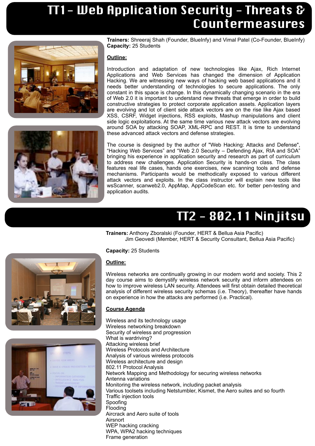## TT1- Web Application Security - Threats & Countermeasures





**Trainers:** Shreeraj Shah (Founder, BlueInfy) and Vimal Patel (Co-Founder, BlueInfy) **Capacity:** 25 Students

### **Outline:**

Introduction and adaptation of new technologies like Ajax, Rich Internet Applications and Web Services has changed the dimension of Application Hacking. We are witnessing new ways of hacking web based applications and it needs better understanding of technologies to secure applications. The only constant in this space is change. In this dynamically changing scenario in the era of Web 2.0 it is important to understand new threats that emerge in order to build constructive strategies to protect corporate application assets. Application layers are evolving and lot of client side attack vectors are on the rise like Ajax based XSS, CSRF, Widget injections, RSS exploits, Mashup manipulations and client side logic exploitations. At the same time various new attack vectors are evolving around SOA by attacking SOAP, XML-RPC and REST. It is time to understand these advanced attack vectors and defense strategies.

The course is designed by the author of "Web Hacking: Attacks and Defense", "Hacking Web Services" and "Web 2.0 Security – Defending Ajax, RIA and SOA" bringing his experience in application security and research as part of curriculum to address new challenges. Application Security is hands-on class. The class features real life cases, hands one exercises, new scanning tools and defense mechanisms. Participants would be methodically exposed to various different attack vectors and exploits. In the class instructor will explain new tools like wsScanner, scanweb2.0, AppMap, AppCodeScan etc. for better pen-testing and application audits.

# TT2 - 802.11 Ninjitsu

**Trainers:** Anthony Zboralski (Founder, HERT & Bellua Asia Pacific) Jim Geovedi (Member, HERT & Security Consultant, Bellua Asia Pacific)



**Capacity:** 25 Students

#### **Outline:**

Wireless networks are continually growing in our modern world and society. This 2 day course aims to demystify wireless network security and inform attendees on how to improve wireless LAN security. Attendees will first obtain detailed theoretical analysis of different wireless security schemas (i.e. Theory), thereafter have hands on experience in how the attacks are performed (i.e. Practical).

#### **Course Agenda**

Wireless and its technology usage Wireless networking breakdown Security of wireless and progression What is wardriving? Attacking wireless brief Wireless Protocols and Architecture Analysis of various wireless protocols Wireless architecture and design 802.11 Protocol Analysis Network Mapping and Methodology for securing wireless networks Antenna variations Monitoring the wireless network, including packet analysis Various toolsets including Netstumbler, Kismet, the Aero suites and so fourth Traffic injection tools Spoofing Flooding Aircrack and Aero suite of tools **Airsnort** WEP hacking cracking WPA, WPA2 hacking techniques Frame generation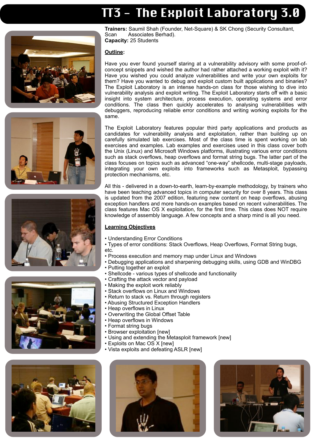# T3 - The Exploit Laboratory 3.0









**Trainers:** Saumil Shah (Founder, Net-Square) & SK Chong (Security Consultant, Scan Associates Berhad). **Capacity:** 25 Students

#### **Outline:**

Have you ever found yourself staring at a vulnerability advisory with some proof-ofconcept snippets and wished the author had rather attached a working exploit with it? Have you wished you could analyze vulnerabilities and write your own exploits for them? Have you wanted to debug and exploit custom built applications and binaries? The Exploit Laboratory is an intense hands-on class for those wishing to dive into vulnerability analysis and exploit writing. The Exploit Laboratory starts off with a basic insight into system architecture, process execution, operating systems and error conditions. The class then quickly accelerates to analysing vulnerabilities with debuggers, reproducing reliable error conditions and writing working exploits for the same.

The Exploit Laboratory features popular third party applications and products as candidates for vulnerability analysis and exploitation, rather than building up on carefully simulated lab exercises. Most of the class time is spent working on lab exercises and examples. Lab examples and exercises used in this class cover both the Unix (Linux) and Microsoft Windows platforms, illustrating various error conditions such as stack overflows, heap overflows and format string bugs. The latter part of the class focuses on topics such as advanced "one-way" shellcode, multi-stage payloads, integrating your own exploits into frameworks such as Metasploit, bypassing protection mechanisms, etc.

All this - delivered in a down-to-earth, learn-by-example methodology, by trainers who have been teaching advanced topics in computer security for over 8 years. This class is updated from the 2007 edition, featuring new content on heap overflows, abusing exception handlers and more hands-on examples based on recent vulnerabilities. The class features Mac OS X exploitation, for the first time. This class does NOT require knowledge of assembly language. A few concepts and a sharp mind is all you need.

#### **Learning Objectives**

- Understanding Error Conditions
- Types of error conditions: Stack Overflows, Heap Overflows, Format String bugs, etc.
- Process execution and memory map under Linux and Windows
- Debugging applications and sharpening debugging skills, using GDB and WinDBG
- Putting together an exploit
- Shellcode various types of shellcode and functionality
- Crafting the attack vector and payload
- Making the exploit work reliably
- Stack overflows on Linux and Windows
- Return to stack vs. Return through registers
- Abusing Structured Exception Handlers
- Heap overflows in Linux
- Overwriting the Global Offset Table
- Heap overflows in Windows
- Format string bugs
- Browser exploitation [new]
- Using and extending the Metasploit framework [new]
	- Exploits on Mac OS X [new]
- Vista exploits and defeating ASLR [new]



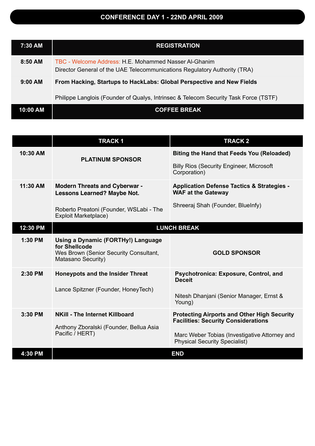### **CONFERENCE DAY 1 - 22ND APRIL 2009**

| 7:30 AM   | <b>REGISTRATION</b>                                                                                                                |  |
|-----------|------------------------------------------------------------------------------------------------------------------------------------|--|
| $8:50$ AM | TBC - Welcome Address: H.E. Mohammed Nasser Al-Ghanim<br>Director General of the UAE Telecommunications Regulatory Authority (TRA) |  |
| $9:00$ AM | From Hacking, Startups to HackLabs: Global Perspective and New Fields                                                              |  |
|           | Philippe Langlois (Founder of Qualys, Intrinsec & Telecom Security Task Force (TSTF)                                               |  |
| 10:00 AM  | <b>COFFEE BREAK</b>                                                                                                                |  |

|           | <b>TRACK1</b>                                                                                                       | <b>TRACK2</b>                                                                                    |  |
|-----------|---------------------------------------------------------------------------------------------------------------------|--------------------------------------------------------------------------------------------------|--|
| 10:30 AM  | <b>PLATINUM SPONSOR</b>                                                                                             | <b>Biting the Hand that Feeds You (Reloaded)</b>                                                 |  |
|           |                                                                                                                     | <b>Billy Rios (Security Engineer, Microsoft</b><br>Corporation)                                  |  |
| 11:30 AM  | <b>Modern Threats and Cyberwar -</b><br><b>Lessons Learned? Maybe Not.</b>                                          | <b>Application Defense Tactics &amp; Strategies -</b><br><b>WAF at the Gateway</b>               |  |
|           | Roberto Preatoni (Founder, WSLabi - The<br><b>Exploit Marketplace)</b>                                              | Shreeraj Shah (Founder, BlueInfy)                                                                |  |
| 12:30 PM  | <b>LUNCH BREAK</b>                                                                                                  |                                                                                                  |  |
| $1:30$ PM | Using a Dynamic (FORTHy!) Language<br>for Shellcode<br>Wes Brown (Senior Security Consultant,<br>Matasano Security) | <b>GOLD SPONSOR</b>                                                                              |  |
| 2:30 PM   | <b>Honeypots and the Insider Threat</b>                                                                             | Psychotronica: Exposure, Control, and<br><b>Deceit</b>                                           |  |
|           | Lance Spitzner (Founder, HoneyTech)                                                                                 | Nitesh Dhanjani (Senior Manager, Ernst &<br>Young)                                               |  |
| $3:30$ PM | <b>NKill - The Internet Killboard</b><br>Anthony Zboralski (Founder, Bellua Asia<br>Pacific / HERT)                 | <b>Protecting Airports and Other High Security</b><br><b>Facilities: Security Considerations</b> |  |
|           |                                                                                                                     | Marc Weber Tobias (Investigative Attorney and<br><b>Physical Security Specialist)</b>            |  |
| 4:30 PM   |                                                                                                                     | <b>END</b>                                                                                       |  |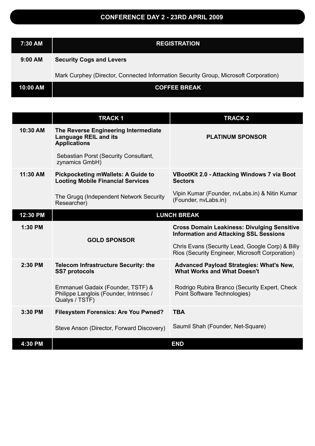### **CONFERENCE DAY 2 - 23RD APRIL 2009**

| 7:30 AM  | <b>REGISTRATION</b>                                                                  |  |
|----------|--------------------------------------------------------------------------------------|--|
| 9:00 AM  | <b>Security Cogs and Levers</b>                                                      |  |
|          | Mark Curphey (Director, Connected Information Security Group, Microsoft Corporation) |  |
| 10:00 AM | <b>COFFEE BREAK</b>                                                                  |  |

|          | <b>TRACK1</b>                                                                                  | <b>TRACK 2</b>                                                                                      |
|----------|------------------------------------------------------------------------------------------------|-----------------------------------------------------------------------------------------------------|
| 10:30 AM | The Reverse Engineering Intermediate<br><b>Language REIL and its</b><br><b>Applications</b>    | <b>PLATINUM SPONSOR</b>                                                                             |
|          | Sebastian Porst (Security Consultant,<br>zynamics GmbH)                                        |                                                                                                     |
| 11:30 AM | <b>Pickpocketing mWallets: A Guide to</b><br><b>Looting Mobile Financial Services</b>          | <b>VBootKit 2.0 - Attacking Windows 7 via Boot</b><br><b>Sectors</b>                                |
|          | The Grugq (Independent Network Security<br>Researcher)                                         | Vipin Kumar (Founder, nvLabs.in) & Nitin Kumar<br>(Founder, nvLabs.in)                              |
| 12:30 PM | <b>LUNCH BREAK</b>                                                                             |                                                                                                     |
| 1:30 PM  | <b>GOLD SPONSOR</b>                                                                            | <b>Cross Domain Leakiness: Divulging Sensitive</b><br><b>Information and Attacking SSL Sessions</b> |
|          |                                                                                                | Chris Evans (Security Lead, Google Corp) & Billy<br>Rios (Security Engineer, Microsoft Corporation) |
| 2:30 PM  | Telecom Infrastructure Security: the<br><b>SS7 protocols</b>                                   | Advanced Payload Strategies: What's New,<br><b>What Works and What Doesn't</b>                      |
|          | Emmanuel Gadaix (Founder, TSTF) &<br>Philippe Langlois (Founder, Intrinsec /<br>Qualys / TSTF) | Rodrigo Rubira Branco (Security Expert, Check<br>Point Software Technologies)                       |
| 3:30 PM  | <b>Filesystem Forensics: Are You Pwned?</b>                                                    | <b>TBA</b>                                                                                          |
|          | Steve Anson (Director, Forward Discovery)                                                      | Saumil Shah (Founder, Net-Square)                                                                   |
| 4:30 PM  |                                                                                                | <b>END</b>                                                                                          |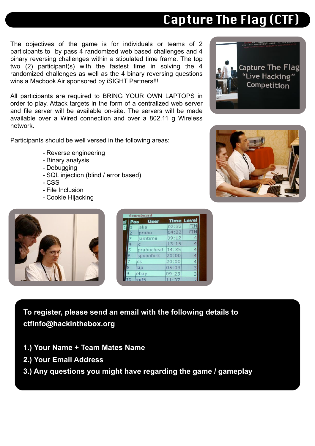### The objectives of the game is for individuals or teams of 2 participants to by pass 4 randomized web based challenges and 4 binary reversing challenges within a stipulated time frame. The top two (2) participant(s) with the fastest time in solving the 4 randomized challenges as well as the 4 binary reversing questions wins a Macbook Air sponsored by iSIGHT Partners!!!

All participants are required to BRING YOUR OWN LAPTOPS in order to play. Attack targets in the form of a centralized web server and file server will be available on-site. The servers will be made available over a Wired connection and over a 802.11 g Wireless network.

Participants should be well versed in the following areas:

- Reverse engineering
- Binary analysis
- Debugging
- SQL injection (blind / error based)
- CSS
- File Inclusion
- Cookie Hijacking



**To register, please send an email with the following details to [ctfinfo@hackinthebox.org](mailto:ctfinfo@hackinthebox.org)**

- **1.) Your Name + Team Mates Name**
- **2.) Your Email Address**
- **3.) Any questions you might have regarding the game / gameplay**

# Capture The Flag (CTF)

**Capture The Flag** "Live Hacking" Competition

**REFERENCE**